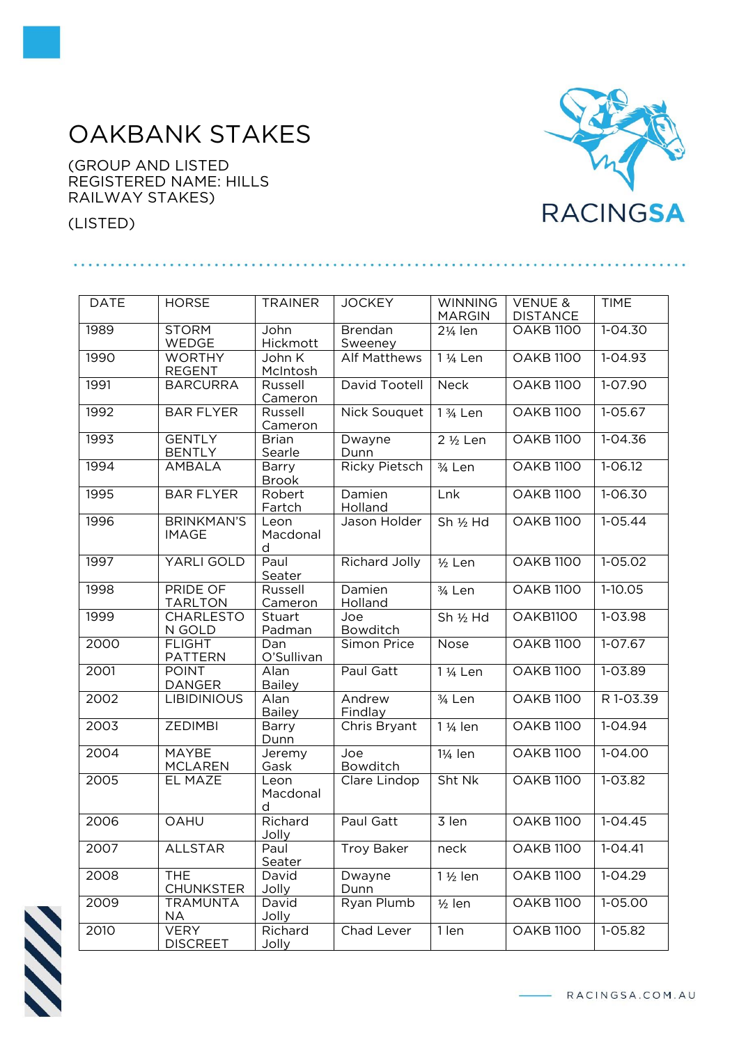## OAKBANK STAKES

(GROUP AND LISTED REGISTERED NAME: HILLS RAILWAY STAKES)

(LISTED)



| <b>DATE</b> | <b>HORSE</b>                      | <b>TRAINER</b>         | <b>JOCKEY</b>             | <b>WINNING</b><br><b>MARGIN</b> | <b>VENUE &amp;</b><br><b>DISTANCE</b> | <b>TIME</b> |
|-------------|-----------------------------------|------------------------|---------------------------|---------------------------------|---------------------------------------|-------------|
| 1989        | <b>STORM</b><br>WEDGE             | John<br>Hickmott       | <b>Brendan</b><br>Sweeney | 21/ <sub>4</sub> len            | <b>OAKB 1100</b>                      | $1 - 04.30$ |
| 1990        | <b>WORTHY</b><br><b>REGENT</b>    | John K<br>McIntosh     | <b>Alf Matthews</b>       | 1 1/ <sub>4</sub> Len           | <b>OAKB 1100</b>                      | $1 - 04.93$ |
| 1991        | <b>BARCURRA</b>                   | Russell<br>Cameron     | David Tootell             | <b>Neck</b>                     | <b>OAKB 1100</b>                      | $1 - 07.90$ |
| 1992        | <b>BAR FLYER</b>                  | Russell<br>Cameron     | <b>Nick Souquet</b>       | 1 3/ <sub>4</sub> Len           | <b>OAKB 1100</b>                      | $1 - 05.67$ |
| 1993        | <b>GENTLY</b><br><b>BENTLY</b>    | <b>Brian</b><br>Searle | Dwayne<br>Dunn            | $\overline{2}$ 1/2 Len          | <b>OAKB 1100</b>                      | $1 - 04.36$ |
| 1994        | AMBALA                            | Barry<br><b>Brook</b>  | <b>Ricky Pietsch</b>      | 3/ <sub>4</sub> Len             | <b>OAKB 1100</b>                      | $1 - 06.12$ |
| 1995        | <b>BAR FLYER</b>                  | Robert<br>Fartch       | Damien<br>Holland         | Lnk                             | <b>OAKB 1100</b>                      | $1 - 06.30$ |
| 1996        | <b>BRINKMAN'S</b><br><b>IMAGE</b> | Leon<br>Macdonal<br>d  | Jason Holder              | Sh 1/2 Hd                       | <b>OAKB 1100</b>                      | $1 - 05.44$ |
| 1997        | YARLI GOLD                        | Paul<br>Seater         | <b>Richard Jolly</b>      | $1/2$ Len                       | <b>OAKB 1100</b>                      | $1 - 05.02$ |
| 1998        | <b>PRIDE OF</b><br><b>TARLTON</b> | Russell<br>Cameron     | Damien<br>Holland         | 3/ <sub>4</sub> Len             | <b>OAKB 1100</b>                      | $1-10.05$   |
| 1999        | <b>CHARLESTO</b><br>N GOLD        | Stuart<br>Padman       | Joe<br>Bowditch           | Sh 1/2 Hd                       | OAKB1100                              | 1-03.98     |
| 2000        | <b>FLIGHT</b><br><b>PATTERN</b>   | Dan<br>O'Sullivan      | Simon Price               | <b>Nose</b>                     | <b>OAKB 1100</b>                      | $1-07.67$   |
| 2001        | <b>POINT</b><br><b>DANGER</b>     | Alan<br><b>Bailey</b>  | Paul Gatt                 | 1 1/ <sub>4</sub> Len           | <b>OAKB 1100</b>                      | 1-03.89     |
| 2002        | <b>LIBIDINIOUS</b>                | Alan<br><b>Bailey</b>  | Andrew<br>Findlay         | 3/ <sub>4</sub> Len             | <b>OAKB 1100</b>                      | R 1-03.39   |
| 2003        | <b>ZEDIMBI</b>                    | Barry<br>Dunn          | Chris Bryant              | 1 1/ <sub>4</sub> len           | <b>OAKB 1100</b>                      | $1 - 04.94$ |
| 2004        | <b>MAYBE</b><br><b>MCLAREN</b>    | Jeremy<br>Gask         | Joe<br>Bowditch           | 11/ <sub>4</sub> len            | <b>OAKB 1100</b>                      | 1-04.00     |
| 2005        | EL MAZE                           | Leon<br>Macdonal<br>d  | Clare Lindop              | Sht Nk                          | <b>OAKB 1100</b>                      | $1 - 03.82$ |
| 2006        | OAHU                              | Richard<br>Jolly       | Paul Gatt                 | 3 len                           | <b>OAKB 1100</b>                      | $1 - 04.45$ |
| 2007        | <b>ALLSTAR</b>                    | Paul<br>Seater         | <b>Troy Baker</b>         | neck                            | <b>OAKB 1100</b>                      | $1 - 04.41$ |
| 2008        | <b>THE</b><br><b>CHUNKSTER</b>    | David<br>Jolly         | Dwayne<br>Dunn            | 1 1/2 len                       | <b>OAKB 1100</b>                      | $1 - 04.29$ |
| 2009        | <b>TRAMUNTA</b><br><b>NA</b>      | David<br>Jolly         | Ryan Plumb                | $1/2$ len                       | <b>OAKB 1100</b>                      | 1-05.00     |
| 2010        | <b>VERY</b><br><b>DISCREET</b>    | Richard<br>Jolly       | Chad Lever                | 1 len                           | <b>OAKB 1100</b>                      | 1-05.82     |



- RACINGSA.COM.AU